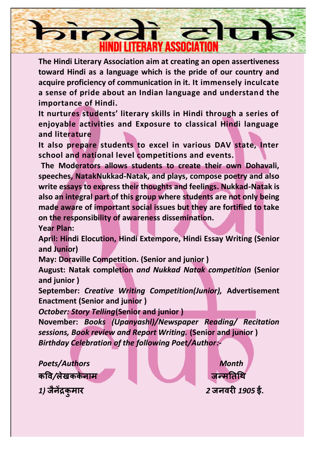

**The Hindi Literary Association aim at creating an open assertiveness toward Hindi as a language which is the pride of our country and acquire proficiency of communication in it. It immensely inculcate a sense of pride about an Indian language and understand the importance of Hindi.**

**It nurtures students' literary skills in Hindi through a series of enjoyable activities and Exposure to classical Hindi language and literature**

**It also prepare students to excel in various DAV state, Inter school and national level competitions and events.**

**The Moderators allows students to create their own Dohavali, speeches, NatakNukkad-Natak, and plays, compose poetry and also write essays to express their thoughts and feelings. Nukkad-Natak is also an integral part of this group where students are not only being made aware of important social issues but they are fortified to take on the responsibility of awareness dissemination.** 

**Year Plan:**

**April: Hindi Elocution, Hindi Extempore, Hindi Essay Writing (Senior and Junior)**

**May: Doraville Competition. (Senior and junior )**

**August: Natak completion** *and Nukkad Natak competition* **(Senior and junior )**

**September:** *Creative Writing Competition(Junior),* **Advertisement Enactment (Senior and junior )**

*October: Story Telling***(Senior and junior )**

**November:** *Books (Upanyashl)/Newspaper Reading/ Recitation sessions, Book review and Report Writing.* **(Senior and junior )** *Birthday Celebration of the following Poet/Author:-*

**Poets/Authors Month कवि***/***लेखकके नाम****जन्मतिथि** *1)* **जैनेंद्रक ु**

**मार** *2* **जनिरी** *1905* **ई***.*